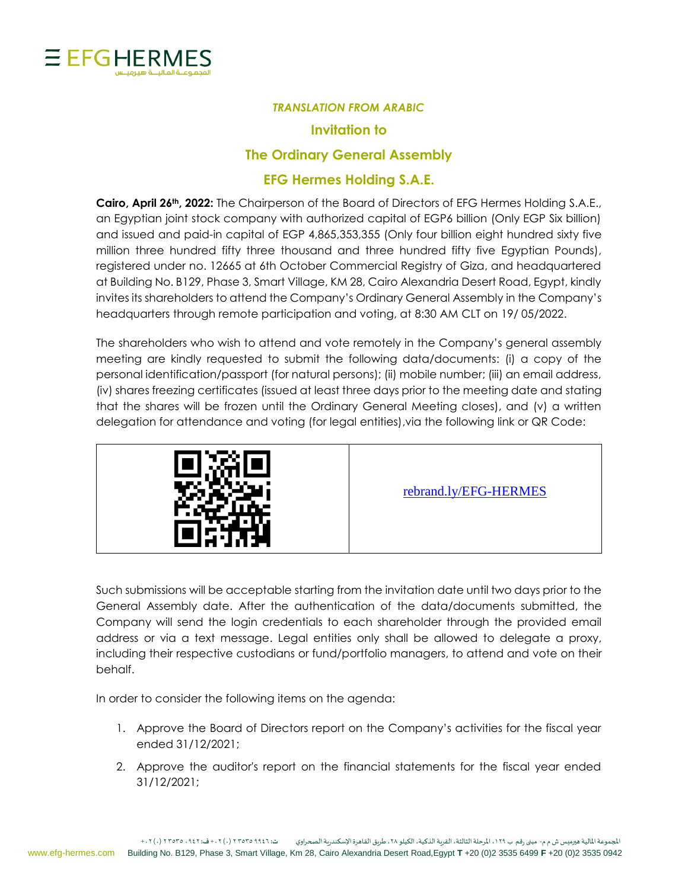

## *TRANSLATION FROM ARABIC*

## **Invitation to**

## **The Ordinary General Assembly**

## **EFG Hermes Holding S.A.E.**

**Cairo, April 26th, 2022:** The Chairperson of the Board of Directors of EFG Hermes Holding S.A.E., an Egyptian joint stock company with authorized capital of EGP6 billion (Only EGP Six billion) and issued and paid-in capital of EGP 4,865,353,355 (Only four billion eight hundred sixty five million three hundred fifty three thousand and three hundred fifty five Egyptian Pounds), registered under no. 12665 at 6th October Commercial Registry of Giza, and headquartered at Building No. B129, Phase 3, Smart Village, KM 28, Cairo Alexandria Desert Road, Egypt, kindly invites its shareholders to attend the Company's Ordinary General Assembly in the Company's headquarters through remote participation and voting, at 8:30 AM CLT on 19/ 05/2022.

The shareholders who wish to attend and vote remotely in the Company's general assembly meeting are kindly requested to submit the following data/documents: (i) a copy of the personal identification/passport (for natural persons); (ii) mobile number; (iii) an email address, (iv) shares freezing certificates (issued at least three days prior to the meeting date and stating that the shares will be frozen until the Ordinary General Meeting closes), and (v) a written delegation for attendance and voting (for legal entities),via the following link or QR Code:



[rebrand.ly/EFG-HERMES](https://emagles.com/voterinformation/EFG669018)

Such submissions will be acceptable starting from the invitation date until two days prior to the General Assembly date. After the authentication of the data/documents submitted, the Company will send the login credentials to each shareholder through the provided email address or via a text message. Legal entities only shall be allowed to delegate a proxy, including their respective custodians or fund/portfolio managers, to attend and vote on their behalf.

In order to consider the following items on the agenda:

- 1. Approve the Board of Directors report on the Company's activities for the fiscal year ended 31/12/2021;
- 2. Approve the auditor's report on the financial statements for the fiscal year ended 31/12/2021;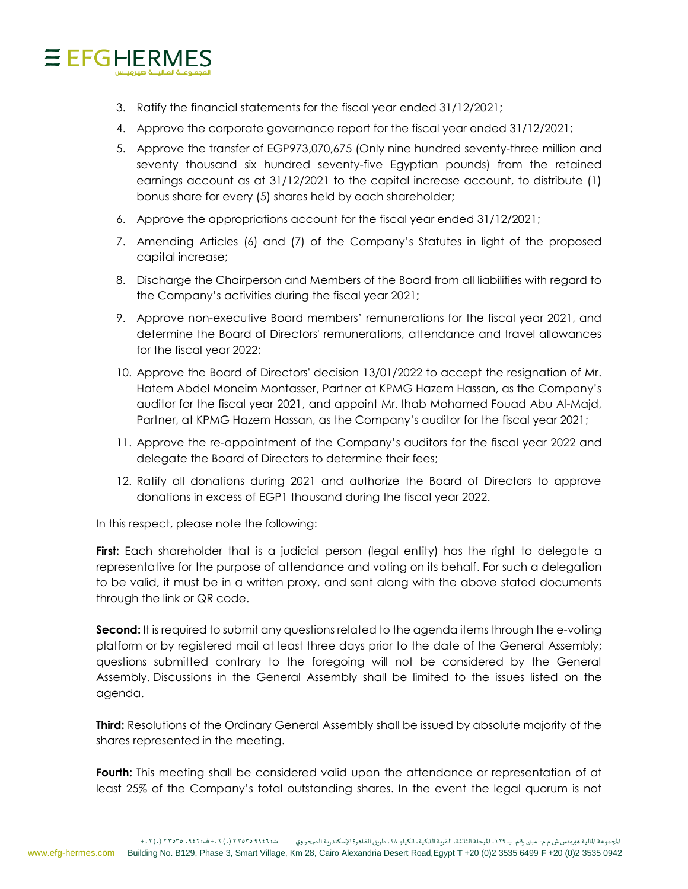

- 3. Ratify the financial statements for the fiscal year ended 31/12/2021;
- 4. Approve the corporate governance report for the fiscal year ended 31/12/2021;
- 5. Approve the transfer of EGP973,070,675 (Only nine hundred seventy-three million and seventy thousand six hundred seventy-five Egyptian pounds) from the retained earnings account as at 31/12/2021 to the capital increase account, to distribute (1) bonus share for every (5) shares held by each shareholder;
- 6. Approve the appropriations account for the fiscal year ended 31/12/2021;
- 7. Amending Articles (6) and (7) of the Company's Statutes in light of the proposed capital increase;
- 8. Discharge the Chairperson and Members of the Board from all liabilities with regard to the Company's activities during the fiscal year 2021;
- 9. Approve non-executive Board members' remunerations for the fiscal year 2021, and determine the Board of Directors' remunerations, attendance and travel allowances for the fiscal year 2022;
- 10. Approve the Board of Directors' decision 13/01/2022 to accept the resignation of Mr. Hatem Abdel Moneim Montasser, Partner at KPMG Hazem Hassan, as the Company's auditor for the fiscal year 2021, and appoint Mr. Ihab Mohamed Fouad Abu Al-Majd, Partner, at KPMG Hazem Hassan, as the Company's auditor for the fiscal year 2021;
- 11. Approve the re-appointment of the Company's auditors for the fiscal year 2022 and delegate the Board of Directors to determine their fees;
- 12. Ratify all donations during 2021 and authorize the Board of Directors to approve donations in excess of EGP1 thousand during the fiscal year 2022.

In this respect, please note the following:

**First:** Each shareholder that is a judicial person (legal entity) has the right to delegate a representative for the purpose of attendance and voting on its behalf. For such a delegation to be valid, it must be in a written proxy, and sent along with the above stated documents through the link or QR code.

**Second:** It is required to submit any questions related to the agenda items through the e-voting platform or by registered mail at least three days prior to the date of the General Assembly; questions submitted contrary to the foregoing will not be considered by the General Assembly. Discussions in the General Assembly shall be limited to the issues listed on the agenda.

**Third:** Resolutions of the Ordinary General Assembly shall be issued by absolute majority of the shares represented in the meeting.

Fourth: This meeting shall be considered valid upon the attendance or representation of at least 25% of the Company's total outstanding shares. In the event the legal quorum is not